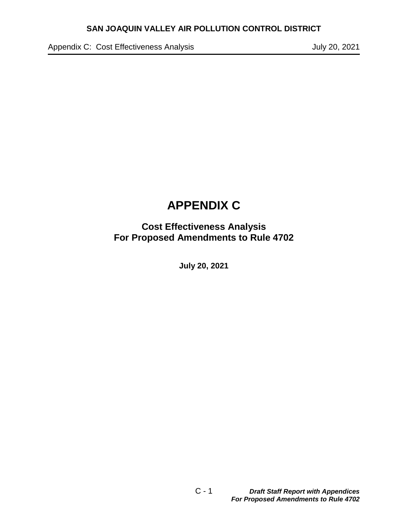Appendix C: Cost Effectiveness Analysis **Analysis** July 20, 2021

# **APPENDIX C**

**Cost Effectiveness Analysis For Proposed Amendments to Rule 4702**

**July 20, 2021**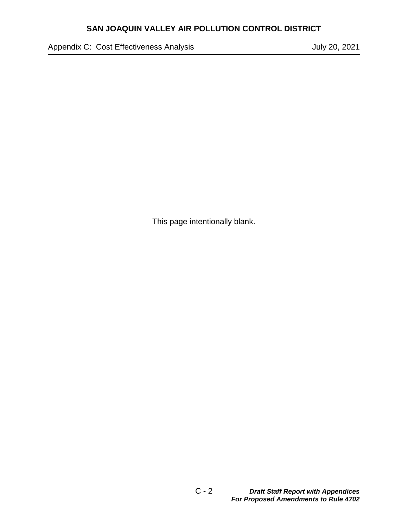Appendix C: Cost Effectiveness Analysis **Analysis** July 20, 2021

This page intentionally blank.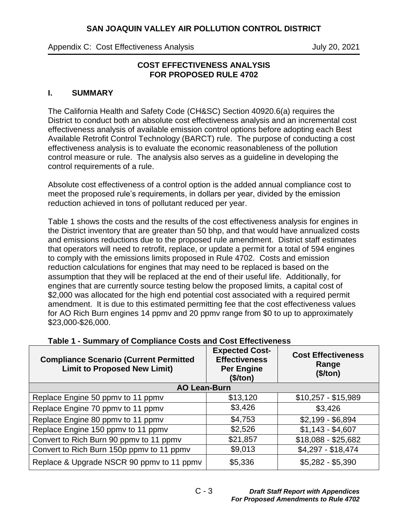#### Appendix C: Cost Effectiveness Analysis **Analysis** July 20, 2021

#### **COST EFFECTIVENESS ANALYSIS FOR PROPOSED RULE 4702**

#### **I. SUMMARY**

The California Health and Safety Code (CH&SC) Section 40920.6(a) requires the District to conduct both an absolute cost effectiveness analysis and an incremental cost effectiveness analysis of available emission control options before adopting each Best Available Retrofit Control Technology (BARCT) rule. The purpose of conducting a cost effectiveness analysis is to evaluate the economic reasonableness of the pollution control measure or rule. The analysis also serves as a guideline in developing the control requirements of a rule.

Absolute cost effectiveness of a control option is the added annual compliance cost to meet the proposed rule's requirements, in dollars per year, divided by the emission reduction achieved in tons of pollutant reduced per year.

[Table 1](#page-2-0) shows the costs and the results of the cost effectiveness analysis for engines in the District inventory that are greater than 50 bhp, and that would have annualized costs and emissions reductions due to the proposed rule amendment. District staff estimates that operators will need to retrofit, replace, or update a permit for a total of 594 engines to comply with the emissions limits proposed in Rule 4702. Costs and emission reduction calculations for engines that may need to be replaced is based on the assumption that they will be replaced at the end of their useful life. Additionally, for engines that are currently source testing below the proposed limits, a capital cost of \$2,000 was allocated for the high end potential cost associated with a required permit amendment. It is due to this estimated permitting fee that the cost effectiveness values for AO Rich Burn engines 14 ppmv and 20 ppmv range from \$0 to up to approximately \$23,000-\$26,000.

| <b>Compliance Scenario (Current Permitted</b><br><b>Limit to Proposed New Limit)</b> | <b>Expected Cost-</b><br><b>Effectiveness</b><br><b>Per Engine</b><br>(\$/ton) | <b>Cost Effectiveness</b><br>Range<br>(\$/ton) |  |
|--------------------------------------------------------------------------------------|--------------------------------------------------------------------------------|------------------------------------------------|--|
| <b>AO Lean-Burn</b>                                                                  |                                                                                |                                                |  |
| Replace Engine 50 ppmv to 11 ppmv                                                    | \$13,120                                                                       | $$10,257 - $15,989$                            |  |
| Replace Engine 70 ppmv to 11 ppmv                                                    | \$3,426                                                                        | \$3,426                                        |  |
| Replace Engine 80 ppmv to 11 ppmv                                                    | \$4,753                                                                        | $$2,199 - $6,894$                              |  |
| Replace Engine 150 ppmv to 11 ppmv                                                   | \$2,526                                                                        | $$1,143 - $4,607$                              |  |
| Convert to Rich Burn 90 ppmv to 11 ppmv                                              | \$21,857                                                                       | $$18,088 - $25,682$                            |  |
| Convert to Rich Burn 150p ppmv to 11 ppmv                                            | \$9,013                                                                        | \$4,297 - \$18,474                             |  |
| Replace & Upgrade NSCR 90 ppmv to 11 ppmv                                            | \$5,336                                                                        | $$5,282 - $5,390$                              |  |

#### <span id="page-2-0"></span>**Table 1 - Summary of Compliance Costs and Cost Effectiveness**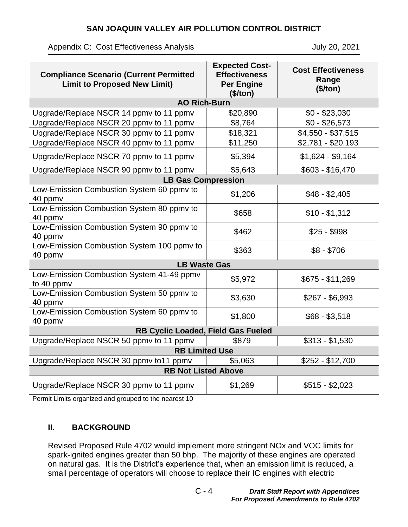Appendix C: Cost Effectiveness Analysis **Analysis** July 20, 2021

| <b>Compliance Scenario (Current Permitted</b><br><b>Limit to Proposed New Limit)</b> | <b>Expected Cost-</b><br><b>Effectiveness</b><br><b>Per Engine</b><br>(\$/ton) | <b>Cost Effectiveness</b><br>Range<br>(\$/ton) |
|--------------------------------------------------------------------------------------|--------------------------------------------------------------------------------|------------------------------------------------|
| <b>AO Rich-Burn</b>                                                                  |                                                                                |                                                |
| Upgrade/Replace NSCR 14 ppmv to 11 ppmv                                              | \$20,890                                                                       | $$0 - $23,030$                                 |
| Upgrade/Replace NSCR 20 ppmv to 11 ppmv                                              | \$8,764                                                                        | $$0 - $26,573$                                 |
| Upgrade/Replace NSCR 30 ppmv to 11 ppmv                                              | \$18,321                                                                       | $$4,550 - $37,515$                             |
| Upgrade/Replace NSCR 40 ppmv to 11 ppmv                                              | \$11,250                                                                       | $$2,781 - $20,193$                             |
| Upgrade/Replace NSCR 70 ppmv to 11 ppmv                                              | \$5,394                                                                        | $$1,624 - $9,164$                              |
| Upgrade/Replace NSCR 90 ppmv to 11 ppmv                                              | \$5,643                                                                        | $$603 - $16,470$                               |
| <b>LB Gas Compression</b>                                                            |                                                                                |                                                |
| Low-Emission Combustion System 60 ppmv to<br>40 ppmv                                 | \$1,206                                                                        | $$48 - $2,405$                                 |
| Low-Emission Combustion System 80 ppmv to<br>40 ppmv                                 | \$658                                                                          | $$10 - $1,312$                                 |
| Low-Emission Combustion System 90 ppmv to<br>40 ppmv                                 | \$462                                                                          | $$25 - $998$                                   |
| Low-Emission Combustion System 100 ppmv to<br>40 ppmv                                | \$363                                                                          | $$8 - $706$                                    |
| <b>LB Waste Gas</b>                                                                  |                                                                                |                                                |
| Low-Emission Combustion System 41-49 ppmv<br>to 40 ppmv                              | \$5,972                                                                        | $$675 - $11,269$                               |
| Low-Emission Combustion System 50 ppmv to<br>40 ppmv                                 | \$3,630                                                                        | $$267 - $6,993$                                |
| Low-Emission Combustion System 60 ppmv to<br>40 ppmv                                 | \$1,800                                                                        | $$68 - $3,518$                                 |
| RB Cyclic Loaded, Field Gas Fueled                                                   |                                                                                |                                                |
| Upgrade/Replace NSCR 50 ppmv to 11 ppmv                                              | \$879                                                                          | $$313 - $1,530$                                |
| <b>RB Limited Use</b>                                                                |                                                                                |                                                |
| Upgrade/Replace NSCR 30 ppmv to11 ppmv                                               | \$5,063                                                                        | $$252 - $12,700$                               |
| <b>RB Not Listed Above</b>                                                           |                                                                                |                                                |
| Upgrade/Replace NSCR 30 ppmv to 11 ppmv                                              | \$1,269                                                                        | $$515 - $2,023$                                |

Permit Limits organized and grouped to the nearest 10

# **II. BACKGROUND**

Revised Proposed Rule 4702 would implement more stringent NOx and VOC limits for spark-ignited engines greater than 50 bhp. The majority of these engines are operated on natural gas. It is the District's experience that, when an emission limit is reduced, a small percentage of operators will choose to replace their IC engines with electric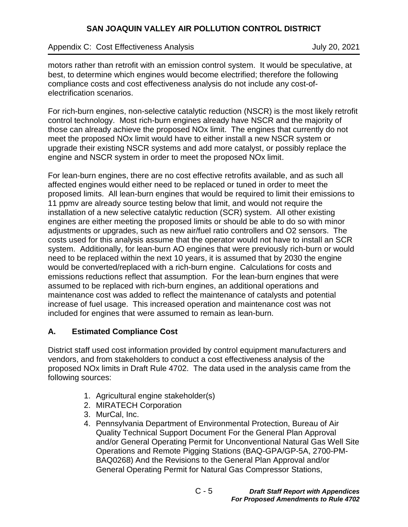#### Appendix C: Cost Effectiveness Analysis **Analysis** July 20, 2021

motors rather than retrofit with an emission control system. It would be speculative, at best, to determine which engines would become electrified; therefore the following compliance costs and cost effectiveness analysis do not include any cost-ofelectrification scenarios.

For rich-burn engines, non-selective catalytic reduction (NSCR) is the most likely retrofit control technology. Most rich-burn engines already have NSCR and the majority of those can already achieve the proposed NOx limit. The engines that currently do not meet the proposed NOx limit would have to either install a new NSCR system or upgrade their existing NSCR systems and add more catalyst, or possibly replace the engine and NSCR system in order to meet the proposed NOx limit.

For lean-burn engines, there are no cost effective retrofits available, and as such all affected engines would either need to be replaced or tuned in order to meet the proposed limits. All lean-burn engines that would be required to limit their emissions to 11 ppmv are already source testing below that limit, and would not require the installation of a new selective catalytic reduction (SCR) system. All other existing engines are either meeting the proposed limits or should be able to do so with minor adjustments or upgrades, such as new air/fuel ratio controllers and O2 sensors. The costs used for this analysis assume that the operator would not have to install an SCR system. Additionally, for lean-burn AO engines that were previously rich-burn or would need to be replaced within the next 10 years, it is assumed that by 2030 the engine would be converted/replaced with a rich-burn engine. Calculations for costs and emissions reductions reflect that assumption. For the lean-burn engines that were assumed to be replaced with rich-burn engines, an additional operations and maintenance cost was added to reflect the maintenance of catalysts and potential increase of fuel usage. This increased operation and maintenance cost was not included for engines that were assumed to remain as lean-burn.

# **A. Estimated Compliance Cost**

District staff used cost information provided by control equipment manufacturers and vendors, and from stakeholders to conduct a cost effectiveness analysis of the proposed NOx limits in Draft Rule 4702. The data used in the analysis came from the following sources:

- 1. Agricultural engine stakeholder(s)
- 2. MIRATECH Corporation
- 3. MurCal, Inc.
- 4. Pennsylvania Department of Environmental Protection, Bureau of Air Quality Technical Support Document For the General Plan Approval and/or General Operating Permit for Unconventional Natural Gas Well Site Operations and Remote Pigging Stations (BAQ-GPA/GP-5A, 2700-PM-BAQ0268) And the Revisions to the General Plan Approval and/or General Operating Permit for Natural Gas Compressor Stations,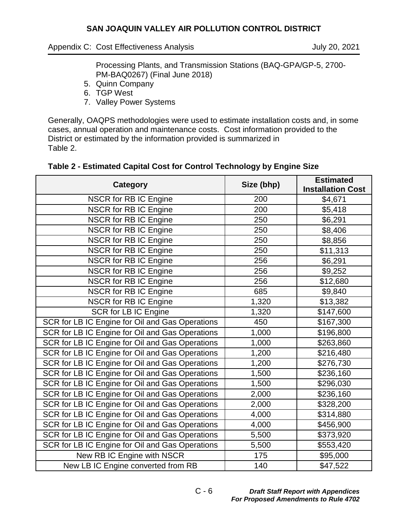Processing Plants, and Transmission Stations (BAQ-GPA/GP-5, 2700- PM-BAQ0267) (Final June 2018)

- 5. Quinn Company
- 6. TGP West
- 7. Valley Power Systems

Generally, OAQPS methodologies were used to estimate installation costs and, in some cases, annual operation and maintenance costs. Cost information provided to the District or estimated by the information provided is summarized in [Table 2.](#page-5-0)

| Category                                        | Size (bhp) | <b>Estimated</b><br><b>Installation Cost</b> |
|-------------------------------------------------|------------|----------------------------------------------|
| <b>NSCR for RB IC Engine</b>                    | 200        | \$4,671                                      |
| NSCR for RB IC Engine                           | 200        | \$5,418                                      |
| <b>NSCR for RB IC Engine</b>                    | 250        | \$6,291                                      |
| NSCR for RB IC Engine                           | 250        | \$8,406                                      |
| NSCR for RB IC Engine                           | 250        | \$8,856                                      |
| NSCR for RB IC Engine                           | 250        | \$11,313                                     |
| <b>NSCR for RB IC Engine</b>                    | 256        | \$6,291                                      |
| NSCR for RB IC Engine                           | 256        | \$9,252                                      |
| <b>NSCR for RB IC Engine</b>                    | 256        | \$12,680                                     |
| <b>NSCR for RB IC Engine</b>                    | 685        | \$9,840                                      |
| NSCR for RB IC Engine                           | 1,320      | \$13,382                                     |
| <b>SCR for LB IC Engine</b>                     | 1,320      | \$147,600                                    |
| SCR for LB IC Engine for Oil and Gas Operations | 450        | \$167,300                                    |
| SCR for LB IC Engine for Oil and Gas Operations | 1,000      | \$196,800                                    |
| SCR for LB IC Engine for Oil and Gas Operations | 1,000      | \$263,860                                    |
| SCR for LB IC Engine for Oil and Gas Operations | 1,200      | \$216,480                                    |
| SCR for LB IC Engine for Oil and Gas Operations | 1,200      | \$276,730                                    |
| SCR for LB IC Engine for Oil and Gas Operations | 1,500      | \$236,160                                    |
| SCR for LB IC Engine for Oil and Gas Operations | 1,500      | \$296,030                                    |
| SCR for LB IC Engine for Oil and Gas Operations | 2,000      | \$236,160                                    |
| SCR for LB IC Engine for Oil and Gas Operations | 2,000      | \$328,200                                    |
| SCR for LB IC Engine for Oil and Gas Operations | 4,000      | \$314,880                                    |
| SCR for LB IC Engine for Oil and Gas Operations | 4,000      | \$456,900                                    |
| SCR for LB IC Engine for Oil and Gas Operations | 5,500      | \$373,920                                    |
| SCR for LB IC Engine for Oil and Gas Operations | 5,500      | $\overline{$}553,420$                        |
| New RB IC Engine with NSCR                      | 175        | \$95,000                                     |
| New LB IC Engine converted from RB              | 140        | \$47,522                                     |

### <span id="page-5-0"></span>**Table 2 - Estimated Capital Cost for Control Technology by Engine Size**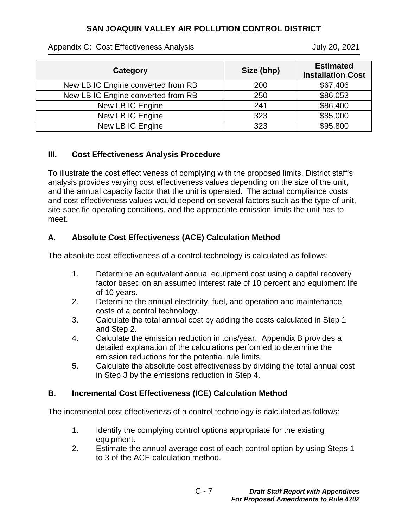#### Appendix C: Cost Effectiveness Analysis **Analysis** July 20, 2021

| Category                           | Size (bhp) | <b>Estimated</b><br><b>Installation Cost</b> |
|------------------------------------|------------|----------------------------------------------|
| New LB IC Engine converted from RB | 200        | \$67,406                                     |
| New LB IC Engine converted from RB | 250        | \$86,053                                     |
| New LB IC Engine                   | 241        | \$86,400                                     |
| New LB IC Engine                   | 323        | \$85,000                                     |
| New LB IC Engine                   | 323        | \$95,800                                     |

### **III. Cost Effectiveness Analysis Procedure**

To illustrate the cost effectiveness of complying with the proposed limits, District staff's analysis provides varying cost effectiveness values depending on the size of the unit, and the annual capacity factor that the unit is operated. The actual compliance costs and cost effectiveness values would depend on several factors such as the type of unit, site-specific operating conditions, and the appropriate emission limits the unit has to meet.

# **A. Absolute Cost Effectiveness (ACE) Calculation Method**

The absolute cost effectiveness of a control technology is calculated as follows:

- 1. Determine an equivalent annual equipment cost using a capital recovery factor based on an assumed interest rate of 10 percent and equipment life of 10 years.
- 2. Determine the annual electricity, fuel, and operation and maintenance costs of a control technology.
- 3. Calculate the total annual cost by adding the costs calculated in Step 1 and Step 2.
- 4. Calculate the emission reduction in tons/year. Appendix B provides a detailed explanation of the calculations performed to determine the emission reductions for the potential rule limits.
- 5. Calculate the absolute cost effectiveness by dividing the total annual cost in Step 3 by the emissions reduction in Step 4.

### **B. Incremental Cost Effectiveness (ICE) Calculation Method**

The incremental cost effectiveness of a control technology is calculated as follows:

- 1. Identify the complying control options appropriate for the existing equipment.
- 2. Estimate the annual average cost of each control option by using Steps 1 to 3 of the ACE calculation method.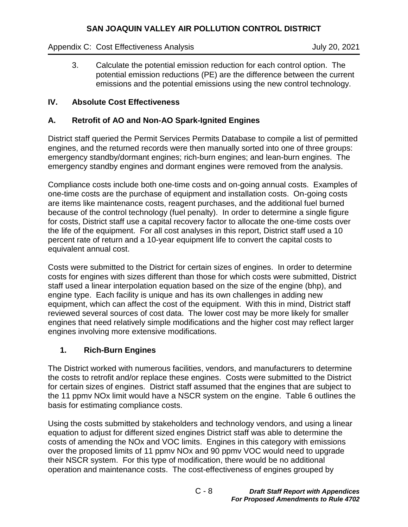3. Calculate the potential emission reduction for each control option. The potential emission reductions (PE) are the difference between the current emissions and the potential emissions using the new control technology.

# **IV. Absolute Cost Effectiveness**

# **A. Retrofit of AO and Non-AO Spark-Ignited Engines**

District staff queried the Permit Services Permits Database to compile a list of permitted engines, and the returned records were then manually sorted into one of three groups: emergency standby/dormant engines; rich-burn engines; and lean-burn engines. The emergency standby engines and dormant engines were removed from the analysis.

Compliance costs include both one-time costs and on-going annual costs. Examples of one-time costs are the purchase of equipment and installation costs. On-going costs are items like maintenance costs, reagent purchases, and the additional fuel burned because of the control technology (fuel penalty). In order to determine a single figure for costs, District staff use a capital recovery factor to allocate the one-time costs over the life of the equipment. For all cost analyses in this report, District staff used a 10 percent rate of return and a 10-year equipment life to convert the capital costs to equivalent annual cost.

Costs were submitted to the District for certain sizes of engines. In order to determine costs for engines with sizes different than those for which costs were submitted, District staff used a linear interpolation equation based on the size of the engine (bhp), and engine type. Each facility is unique and has its own challenges in adding new equipment, which can affect the cost of the equipment. With this in mind, District staff reviewed several sources of cost data. The lower cost may be more likely for smaller engines that need relatively simple modifications and the higher cost may reflect larger engines involving more extensive modifications.

# **1. Rich-Burn Engines**

The District worked with numerous facilities, vendors, and manufacturers to determine the costs to retrofit and/or replace these engines. Costs were submitted to the District for certain sizes of engines. District staff assumed that the engines that are subject to the 11 ppmv NOx limit would have a NSCR system on the engine. [Table 6](#page-11-0) outlines the basis for estimating compliance costs.

Using the costs submitted by stakeholders and technology vendors, and using a linear equation to adjust for different sized engines District staff was able to determine the costs of amending the NOx and VOC limits. Engines in this category with emissions over the proposed limits of 11 ppmv NOx and 90 ppmv VOC would need to upgrade their NSCR system. For this type of modification, there would be no additional operation and maintenance costs. The cost-effectiveness of engines grouped by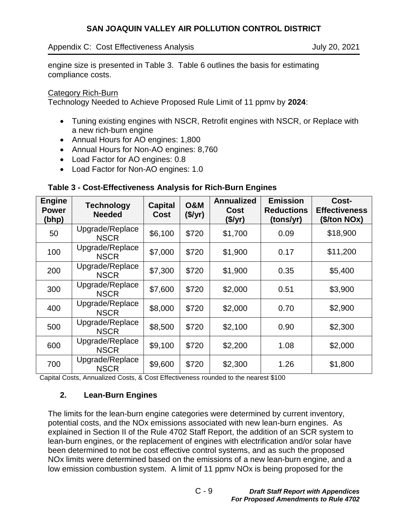engine size is presented in [Table 3.](#page-8-0) [Table 6](#page-11-0) outlines the basis for estimating compliance costs.

# Category Rich-Burn

Technology Needed to Achieve Proposed Rule Limit of 11 ppmv by **2024**:

- Tuning existing engines with NSCR, Retrofit engines with NSCR, or Replace with a new rich-burn engine
- Annual Hours for AO engines: 1,800
- Annual Hours for Non-AO engines: 8,760
- Load Factor for AO engines: 0.8
- Load Factor for Non-AO engines: 1.0

| <b>Engine</b><br><b>Power</b><br>(bhp) | <b>Technology</b><br><b>Needed</b> | <b>Capital</b><br><b>Cost</b> | <b>O&amp;M</b><br>(\$/yr) | <b>Annualized</b><br><b>Cost</b><br>(\$/yr) | <b>Emission</b><br><b>Reductions</b><br>(tons/yr) | Cost-<br><b>Effectiveness</b><br>(\$/ton NOx) |
|----------------------------------------|------------------------------------|-------------------------------|---------------------------|---------------------------------------------|---------------------------------------------------|-----------------------------------------------|
| 50                                     | Upgrade/Replace<br><b>NSCR</b>     | \$6,100                       | \$720                     | \$1,700                                     | 0.09                                              | \$18,900                                      |
| 100                                    | Upgrade/Replace<br><b>NSCR</b>     | \$7,000                       | \$720                     | \$1,900                                     | 0.17                                              | \$11,200                                      |
| 200                                    | Upgrade/Replace<br><b>NSCR</b>     | \$7,300                       | \$720                     | \$1,900                                     | 0.35                                              | \$5,400                                       |
| 300                                    | Upgrade/Replace<br><b>NSCR</b>     | \$7,600                       | \$720                     | \$2,000                                     | 0.51                                              | \$3,900                                       |
| 400                                    | Upgrade/Replace<br><b>NSCR</b>     | \$8,000                       | \$720                     | \$2,000                                     | 0.70                                              | \$2,900                                       |
| 500                                    | Upgrade/Replace<br><b>NSCR</b>     | \$8,500                       | \$720                     | \$2,100                                     | 0.90                                              | \$2,300                                       |
| 600                                    | Upgrade/Replace<br><b>NSCR</b>     | \$9,100                       | \$720                     | \$2,200                                     | 1.08                                              | \$2,000                                       |
| 700                                    | Upgrade/Replace<br><b>NSCR</b>     | \$9,600                       | \$720                     | \$2,300                                     | 1.26                                              | \$1,800                                       |

# <span id="page-8-0"></span>**Table 3 - Cost-Effectiveness Analysis for Rich-Burn Engines**

Capital Costs, Annualized Costs, & Cost Effectiveness rounded to the nearest \$100

# **2. Lean-Burn Engines**

The limits for the lean-burn engine categories were determined by current inventory, potential costs, and the NOx emissions associated with new lean-burn engines. As explained in Section II of the Rule 4702 Staff Report, the addition of an SCR system to lean-burn engines, or the replacement of engines with electrification and/or solar have been determined to not be cost effective control systems, and as such the proposed NOx limits were determined based on the emissions of a new lean-burn engine, and a low emission combustion system. A limit of 11 ppmv NOx is being proposed for the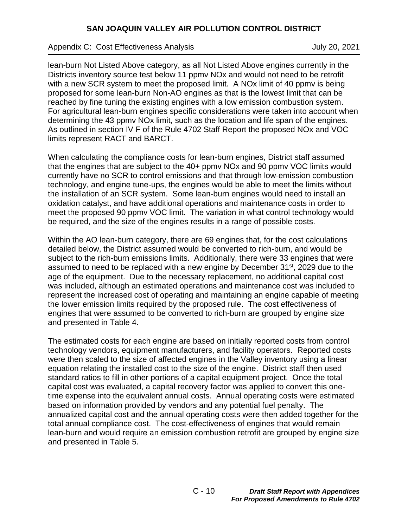### Appendix C: Cost Effectiveness Analysis **Analysis** July 20, 2021

lean-burn Not Listed Above category, as all Not Listed Above engines currently in the Districts inventory source test below 11 ppmv NOx and would not need to be retrofit with a new SCR system to meet the proposed limit. A NO<sub>x</sub> limit of 40 ppm is being proposed for some lean-burn Non-AO engines as that is the lowest limit that can be reached by fine tuning the existing engines with a low emission combustion system. For agricultural lean-burn engines specific considerations were taken into account when determining the 43 ppmv NOx limit, such as the location and life span of the engines. As outlined in section IV F of the Rule 4702 Staff Report the proposed NOx and VOC limits represent RACT and BARCT.

When calculating the compliance costs for lean-burn engines, District staff assumed that the engines that are subject to the 40+ ppmv NOx and 90 ppmv VOC limits would currently have no SCR to control emissions and that through low-emission combustion technology, and engine tune-ups, the engines would be able to meet the limits without the installation of an SCR system. Some lean-burn engines would need to install an oxidation catalyst, and have additional operations and maintenance costs in order to meet the proposed 90 ppmv VOC limit. The variation in what control technology would be required, and the size of the engines results in a range of possible costs.

Within the AO lean-burn category, there are 69 engines that, for the cost calculations detailed below, the District assumed would be converted to rich-burn, and would be subject to the rich-burn emissions limits. Additionally, there were 33 engines that were assumed to need to be replaced with a new engine by December 31<sup>st</sup>, 2029 due to the age of the equipment. Due to the necessary replacement, no additional capital cost was included, although an estimated operations and maintenance cost was included to represent the increased cost of operating and maintaining an engine capable of meeting the lower emission limits required by the proposed rule. The cost effectiveness of engines that were assumed to be converted to rich-burn are grouped by engine size and presented in [Table 4.](#page-10-0)

The estimated costs for each engine are based on initially reported costs from control technology vendors, equipment manufacturers, and facility operators. Reported costs were then scaled to the size of affected engines in the Valley inventory using a linear equation relating the installed cost to the size of the engine. District staff then used standard ratios to fill in other portions of a capital equipment project. Once the total capital cost was evaluated, a capital recovery factor was applied to convert this onetime expense into the equivalent annual costs. Annual operating costs were estimated based on information provided by vendors and any potential fuel penalty. The annualized capital cost and the annual operating costs were then added together for the total annual compliance cost. The cost-effectiveness of engines that would remain lean-burn and would require an emission combustion retrofit are grouped by engine size and presented in [Table 5.](#page-11-1)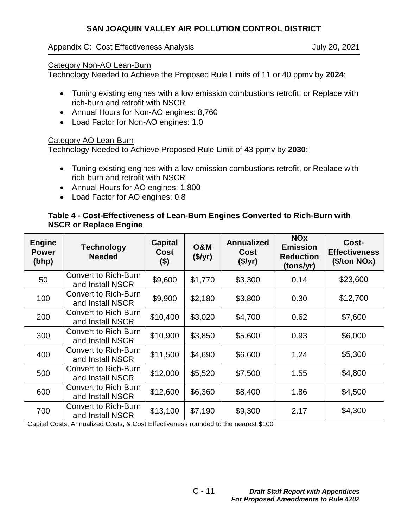#### Appendix C: Cost Effectiveness Analysis **Analysis** July 20, 2021

#### Category Non-AO Lean-Burn

Technology Needed to Achieve the Proposed Rule Limits of 11 or 40 ppmv by **2024**:

- Tuning existing engines with a low emission combustions retrofit, or Replace with rich-burn and retrofit with NSCR
- Annual Hours for Non-AO engines: 8,760
- Load Factor for Non-AO engines: 1.0

#### Category AO Lean-Burn

Technology Needed to Achieve Proposed Rule Limit of 43 ppmv by **2030**:

- Tuning existing engines with a low emission combustions retrofit, or Replace with rich-burn and retrofit with NSCR
- Annual Hours for AO engines: 1,800
- Load Factor for AO engines: 0.8

#### <span id="page-10-0"></span>**Table 4 - Cost-Effectiveness of Lean-Burn Engines Converted to Rich-Burn with NSCR or Replace Engine**

| <b>Engine</b><br><b>Power</b><br>(bhp) | <b>Technology</b><br><b>Needed</b>              | <b>Capital</b><br><b>Cost</b><br>$($ \$) | <b>O&amp;M</b><br>(\$/yr) | Annualized<br><b>Cost</b><br>(\$/yr) | <b>NO<sub>x</sub></b><br><b>Emission</b><br><b>Reduction</b><br>(tons/yr) | Cost-<br><b>Effectiveness</b><br>(\$/ton NOx) |
|----------------------------------------|-------------------------------------------------|------------------------------------------|---------------------------|--------------------------------------|---------------------------------------------------------------------------|-----------------------------------------------|
| 50                                     | Convert to Rich-Burn<br>and Install NSCR        | \$9,600                                  | \$1,770                   | \$3,300                              | 0.14                                                                      | \$23,600                                      |
| 100                                    | Convert to Rich-Burn<br>and Install NSCR        | \$9,900                                  | \$2,180                   | \$3,800                              | 0.30                                                                      | \$12,700                                      |
| 200                                    | Convert to Rich-Burn<br>and Install NSCR        | \$10,400                                 | \$3,020                   | \$4,700                              | 0.62                                                                      | \$7,600                                       |
| 300                                    | Convert to Rich-Burn<br>and Install NSCR        | \$10,900                                 | \$3,850                   | \$5,600                              | 0.93                                                                      | \$6,000                                       |
| 400                                    | Convert to Rich-Burn<br>and Install NSCR        | \$11,500                                 | \$4,690                   | \$6,600                              | 1.24                                                                      | \$5,300                                       |
| 500                                    | <b>Convert to Rich-Burn</b><br>and Install NSCR | \$12,000                                 | \$5,520                   | \$7,500                              | 1.55                                                                      | \$4,800                                       |
| 600                                    | <b>Convert to Rich-Burn</b><br>and Install NSCR | \$12,600                                 | \$6,360                   | \$8,400                              | 1.86                                                                      | \$4,500                                       |
| 700                                    | <b>Convert to Rich-Burn</b><br>and Install NSCR | \$13,100                                 | \$7,190                   | \$9,300                              | 2.17                                                                      | \$4,300                                       |

Capital Costs, Annualized Costs, & Cost Effectiveness rounded to the nearest \$100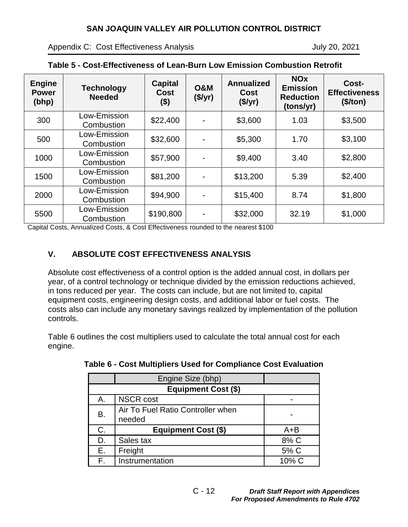|  |  | Appendix C: Cost Effectiveness Analysis |  |
|--|--|-----------------------------------------|--|
|--|--|-----------------------------------------|--|

**July 20, 2021** 

<span id="page-11-1"></span>

| <b>Engine</b><br><b>Power</b><br>(bhp) | <b>Technology</b><br><b>Needed</b> | <b>Capital</b><br><b>Cost</b><br>(\$) | <b>O&amp;M</b><br>$(\frac{5}{yr})$ | Annualized<br><b>Cost</b><br>(\$/yr) | <b>NO<sub>x</sub></b><br><b>Emission</b><br><b>Reduction</b><br>(tons/yr) | Cost-<br><b>Effectiveness</b><br>(\$/ton) |
|----------------------------------------|------------------------------------|---------------------------------------|------------------------------------|--------------------------------------|---------------------------------------------------------------------------|-------------------------------------------|
| 300                                    | Low-Emission<br>Combustion         | \$22,400                              |                                    | \$3,600                              | 1.03                                                                      | \$3,500                                   |
| 500                                    | Low-Emission<br>Combustion         | \$32,600                              |                                    | \$5,300                              | 1.70                                                                      | \$3,100                                   |
| 1000                                   | Low-Emission<br>Combustion         | \$57,900                              |                                    | \$9,400                              | 3.40                                                                      | \$2,800                                   |
| 1500                                   | Low-Emission<br>Combustion         | \$81,200                              |                                    | \$13,200                             | 5.39                                                                      | \$2,400                                   |
| 2000                                   | Low-Emission<br>Combustion         | \$94,900                              |                                    | \$15,400                             | 8.74                                                                      | \$1,800                                   |
| 5500                                   | Low-Emission<br>Combustion         | \$190,800                             |                                    | \$32,000                             | 32.19                                                                     | \$1,000                                   |

Capital Costs, Annualized Costs, & Cost Effectiveness rounded to the nearest \$100

# **V. ABSOLUTE COST EFFECTIVENESS ANALYSIS**

Absolute cost effectiveness of a control option is the added annual cost, in dollars per year, of a control technology or technique divided by the emission reductions achieved, in tons reduced per year. The costs can include, but are not limited to, capital equipment costs, engineering design costs, and additional labor or fuel costs. The costs also can include any monetary savings realized by implementation of the pollution controls.

<span id="page-11-0"></span>[Table 6](#page-11-0) outlines the cost multipliers used to calculate the total annual cost for each engine.

|    | Engine Size (bhp)                           |       |
|----|---------------------------------------------|-------|
|    | <b>Equipment Cost (\$)</b>                  |       |
| Α. | <b>NSCR cost</b>                            |       |
| В. | Air To Fuel Ratio Controller when<br>needed |       |
| C. | <b>Equipment Cost (\$)</b>                  | A+B   |
| D. | Sales tax                                   | 8% C  |
| Е. | Freight                                     | 5% C  |
| F. | Instrumentation                             | 10% C |

|  |  |  | Table 6 - Cost Multipliers Used for Compliance Cost Evaluation |
|--|--|--|----------------------------------------------------------------|
|  |  |  |                                                                |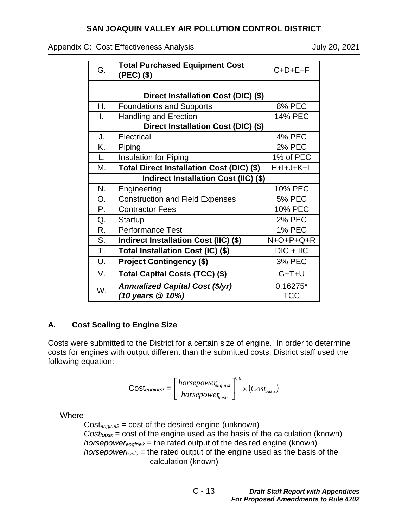| G.                                    | <b>Total Purchased Equipment Cost</b><br>(PEC) (\$)        | $C+D+E+F$                |  |  |  |
|---------------------------------------|------------------------------------------------------------|--------------------------|--|--|--|
|                                       |                                                            |                          |  |  |  |
|                                       | Direct Installation Cost (DIC) (\$)                        |                          |  |  |  |
| Η.                                    | <b>Foundations and Supports</b>                            | <b>8% PEC</b>            |  |  |  |
| I.                                    | <b>Handling and Erection</b>                               | <b>14% PEC</b>           |  |  |  |
|                                       | Direct Installation Cost (DIC) (\$)                        |                          |  |  |  |
| J.                                    | Electrical                                                 | <b>4% PEC</b>            |  |  |  |
| K.                                    | Piping                                                     | <b>2% PEC</b>            |  |  |  |
| L.                                    | <b>Insulation for Piping</b>                               | 1% of PEC                |  |  |  |
| М.                                    | Total Direct Installation Cost (DIC) (\$)                  | H+I+J+K+L                |  |  |  |
| Indirect Installation Cost (IIC) (\$) |                                                            |                          |  |  |  |
| N.                                    | Engineering                                                | <b>10% PEC</b>           |  |  |  |
| О.                                    | <b>Construction and Field Expenses</b>                     | <b>5% PEC</b>            |  |  |  |
| Ρ.                                    | <b>Contractor Fees</b>                                     | 10% PEC                  |  |  |  |
| Q.                                    | Startup                                                    | <b>2% PEC</b>            |  |  |  |
| R.                                    | <b>Performance Test</b>                                    | <b>1% PEC</b>            |  |  |  |
| S.                                    | Indirect Installation Cost (IIC) (\$)                      | $N+O+P+Q+R$              |  |  |  |
| T.                                    | Total Installation Cost (IC) (\$)                          | $DIC + IIC$              |  |  |  |
| U.                                    | <b>Project Contingency (\$)</b>                            | <b>3% PEC</b>            |  |  |  |
| V.                                    | Total Capital Costs (TCC) (\$)                             | $G+T+U$                  |  |  |  |
| W.                                    | <b>Annualized Capital Cost (\$/yr)</b><br>(10 years @ 10%) | $0.16275*$<br><b>TCC</b> |  |  |  |

# **A. Cost Scaling to Engine Size**

Costs were submitted to the District for a certain size of engine. In order to determine costs for engines with output different than the submitted costs, District staff used the following equation:

$$
\text{Cost}_{\text{engine2}} = \left[\frac{horsepower_{\text{engine2}}}{horsepower_{\text{basis}}}\right]^{0.6} \times (Cost_{\text{basis}})
$$

**Where** 

Cost*engine2* = cost of the desired engine (unknown) *Costbasis* = cost of the engine used as the basis of the calculation (known) *horsepowerengine2* = the rated output of the desired engine (known) *horsepowerbasis* = the rated output of the engine used as the basis of the calculation (known)